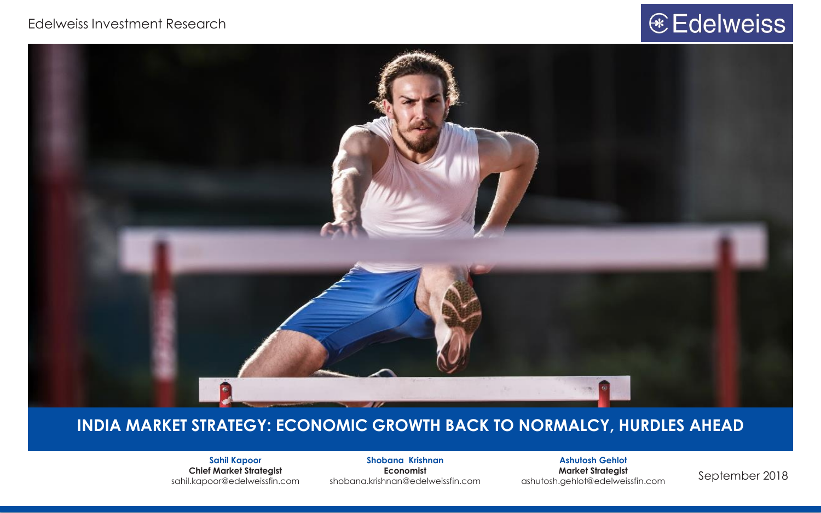#### Edelweiss Investment Research

# € Edelweiss



#### **INDIA MARKET STRATEGY: ECONOMIC GROWTH BACK TO NORMALCY, HURDLES AHEAD**

**Sahil Kapoor Chief Market Strategist**

**Shobana Krishnan Economist** shobana.krishnan@edelweissfin.com sahil.kapoor@edelweissfin.com September 2018 ashutosh.gehlot@edelweissfin.com

**Ashutosh Gehlot Market Strategist**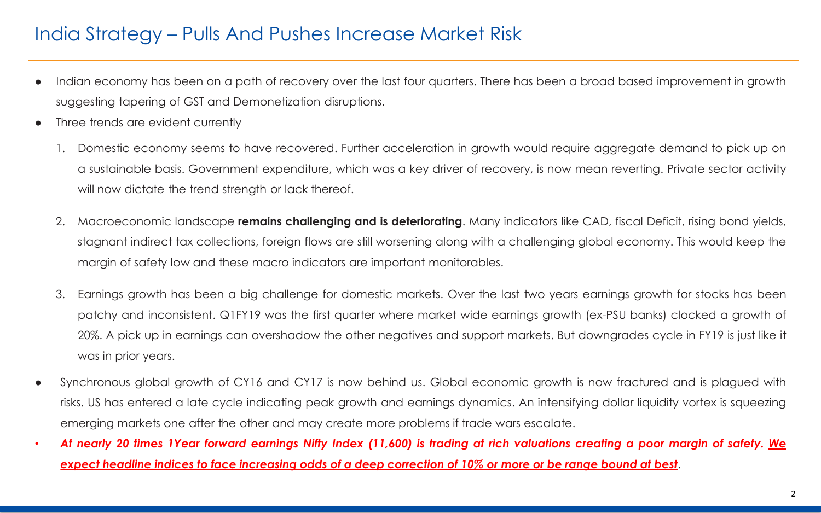## India Strategy – Pulls And Pushes Increase Market Risk

- Indian economy has been on a path of recovery over the last four quarters. There has been a broad based improvement in growth suggesting tapering of GST and Demonetization disruptions.
- Three trends are evident currently
	- 1. Domestic economy seems to have recovered. Further acceleration in growth would require aggregate demand to pick up on a sustainable basis. Government expenditure, which was a key driver of recovery, is now mean reverting. Private sector activity will now dictate the trend strength or lack thereof.
	- 2. Macroeconomic landscape **remains challenging and is deteriorating**. Many indicators like CAD, fiscal Deficit, rising bond yields, stagnant indirect tax collections, foreign flows are still worsening along with a challenging global economy. This would keep the margin of safety low and these macro indicators are important monitorables.
	- 3. Earnings growth has been a big challenge for domestic markets. Over the last two years earnings growth for stocks has been patchy and inconsistent. Q1FY19 was the first quarter where market wide earnings growth (ex-PSU banks) clocked a growth of 20%. A pick up in earnings can overshadow the other negatives and support markets. But downgrades cycle in FY19 is just like it was in prior years.
- Synchronous global growth of CY16 and CY17 is now behind us. Global economic growth is now fractured and is plagued with risks. US has entered a late cycle indicating peak growth and earnings dynamics. An intensifying dollar liquidity vortex is squeezing emerging markets one after the other and may create more problems if trade wars escalate.
- At nearly 20 times 1Year forward earnings Nifty Index (11,600) is trading at rich valuations creating a poor margin of safety. We expect headline indices to face increasing odds of a deep correction of 10% or more or be range bound at best.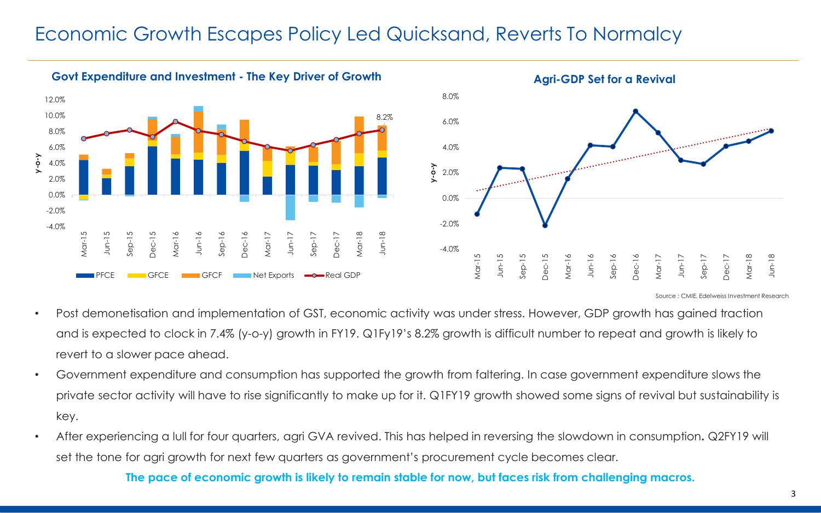#### Economic Growth Escapes Policy Led Quicksand, Reverts To Normalcy





Source : CMIE, Edelweiss Investment Research

- Post demonetisation and implementation of GST, economic activity was under stress. However, GDP growth has gained traction and is expected to clock in 7.4% (y-o-y) growth in FY19. Q1Fy19's 8.2% growth is difficult number to repeat and growth is likely to revert to a slower pace ahead.
- Government expenditure and consumption has supported the growth from faltering. In case government expenditure slows the private sector activity will have to rise significantly to make up for it. Q1FY19 growth showed some signs of revival but sustainability is key.
- After experiencing a lull for four quarters, agri GVA revived. This has helped in reversing the slowdown in consumption**.** Q2FY19 will set the tone for agri growth for next few quarters as government's procurement cycle becomes clear.

**The pace of economic growth is likely to remain stable for now, but faces risk from challenging macros.**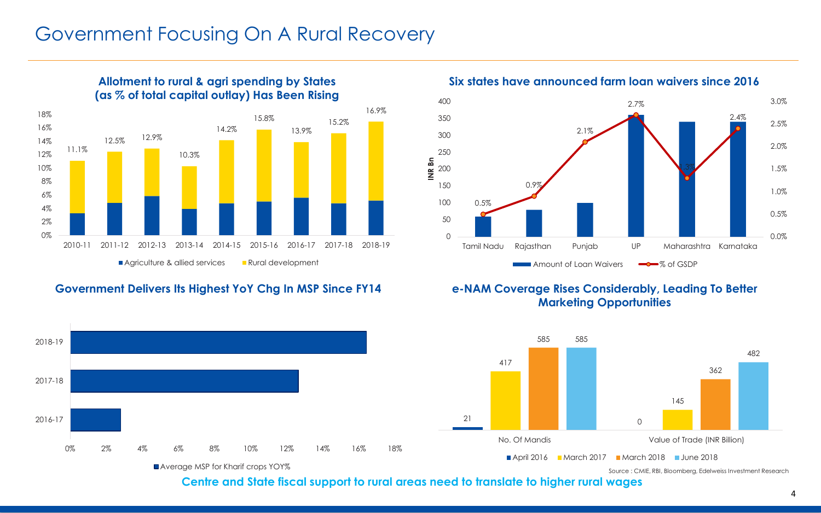#### Government Focusing On A Rural Recovery



#### **Allotment to rural & agri spending by States (as % of total capital outlay) Has Been Rising**

#### **Government Delivers Its Highest YoY Chg In MSP Since FY14**



**Six states have announced farm loan waivers since 2016**



#### **e-NAM Coverage Rises Considerably, Leading To Better Marketing Opportunities**



Source : CMIE, RBI, Bloomberg, Edelweiss Investment Research

**Centre and State fiscal support to rural areas need to translate to higher rural wages**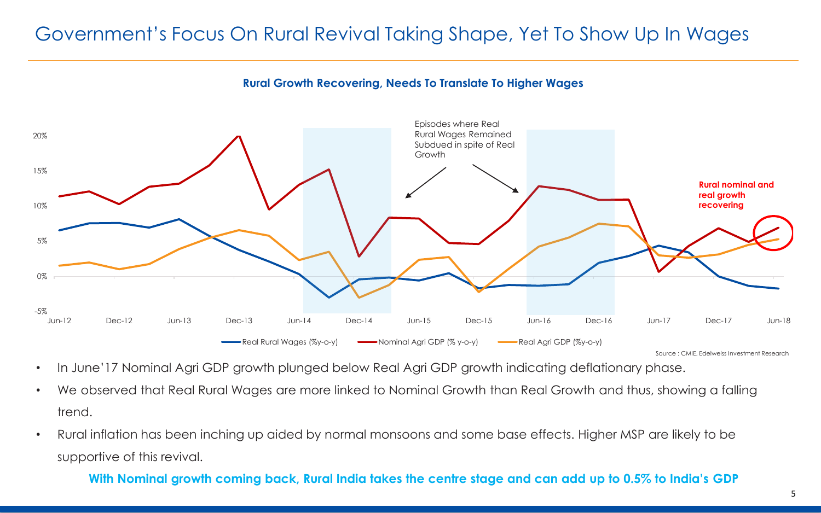# Government's Focus On Rural Revival Taking Shape, Yet To Show Up In Wages





Source : CMIE, Edelweiss Investment Research

- In June'17 Nominal Agri GDP growth plunged below Real Agri GDP growth indicating deflationary phase.
- We observed that Real Rural Wages are more linked to Nominal Growth than Real Growth and thus, showing a falling trend.
- Rural inflation has been inching up aided by normal monsoons and some base effects. Higher MSP are likely to be supportive of this revival.

#### **With Nominal growth coming back, Rural India takes the centre stage and can add up to 0.5% to India's GDP**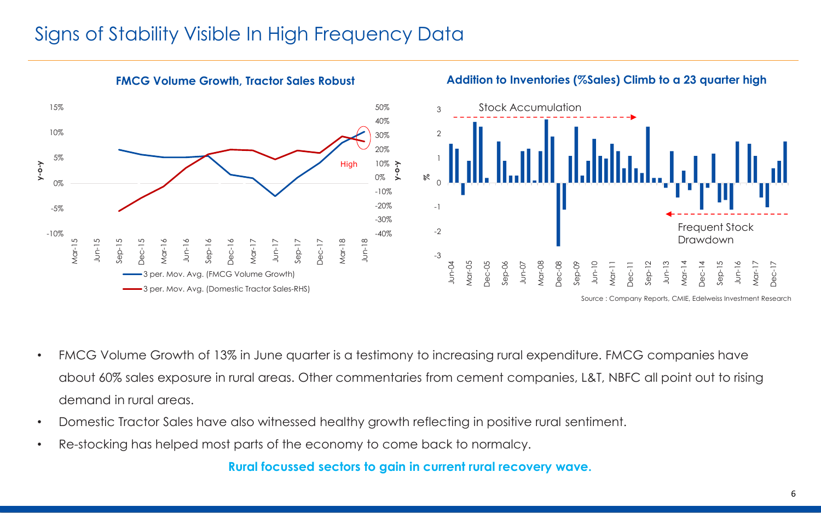## Signs of Stability Visible In High Frequency Data



**Addition to Inventories (%Sales) Climb to a 23 quarter high**

- FMCG Volume Growth of 13% in June quarter is a testimony to increasing rural expenditure. FMCG companies have about 60% sales exposure in rural areas. Other commentaries from cement companies, L&T, NBFC all point out to rising demand in rural areas.
- Domestic Tractor Sales have also witnessed healthy growth reflecting in positive rural sentiment.
- Re-stocking has helped most parts of the economy to come back to normalcy.

**Rural focussed sectors to gain in current rural recovery wave.**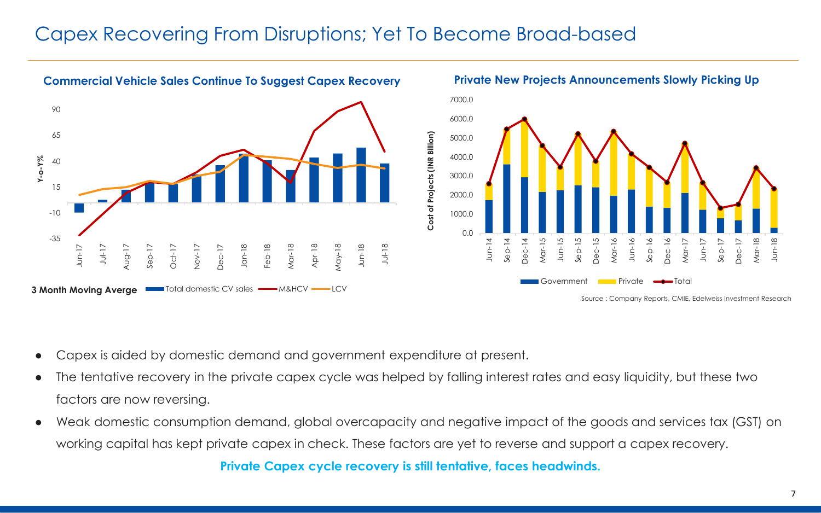#### Capex Recovering From Disruptions; Yet To Become Broad-based



- Capex is aided by domestic demand and government expenditure at present.
- The tentative recovery in the private capex cycle was helped by falling interest rates and easy liquidity, but these two factors are now reversing.
- Weak domestic consumption demand, global overcapacity and negative impact of the goods and services tax (GST) on working capital has kept private capex in check. These factors are yet to reverse and support a capex recovery.

**Private Capex cycle recovery is still tentative, faces headwinds.**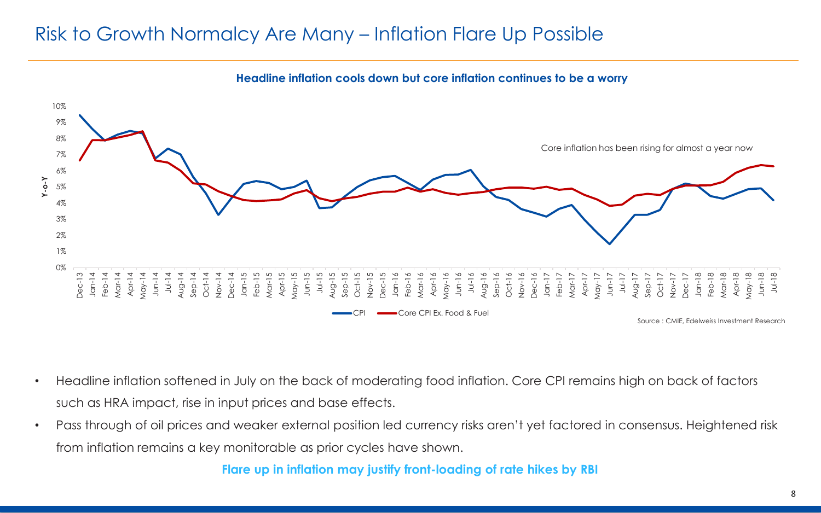## Risk to Growth Normalcy Are Many – Inflation Flare Up Possible



**Headline inflation cools down but core inflation continues to be a worry**

- Headline inflation softened in July on the back of moderating food inflation. Core CPI remains high on back of factors such as HRA impact, rise in input prices and base effects.
- Pass through of oil prices and weaker external position led currency risks aren't yet factored in consensus. Heightened risk from inflation remains a key monitorable as prior cycles have shown.

**Flare up in inflation may justify front-loading of rate hikes by RBI**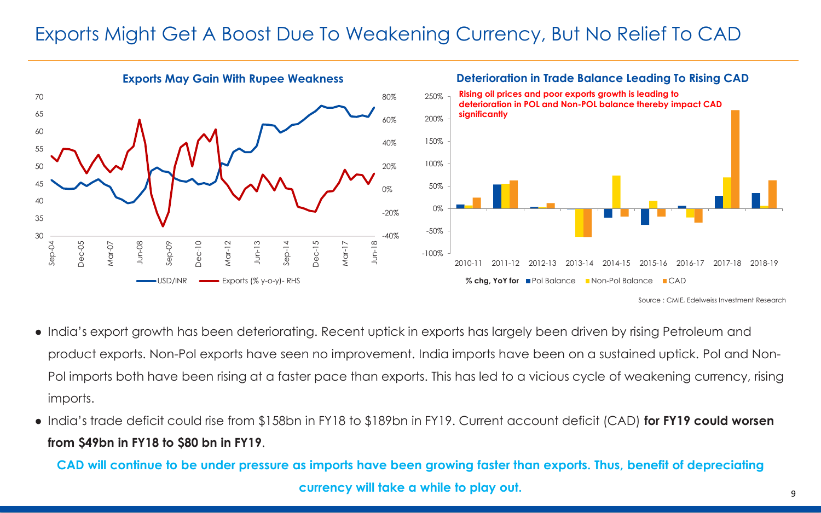## Exports Might Get A Boost Due To Weakening Currency, But No Relief To CAD

**Exports May Gain With Rupee Weakness Deterioration in Trade Balance Leading To Rising CAD**  $-40%$ -20% 0% 20% 40% 60% 80% 30 35 40 45 50 55 60 65 70 Sep-04 Dec-05 Mar-07 Jun-08 Sep-09 Dec-10 Mar-12 Jun-13  $Sep-14$ Dec-15 Mar-17 Jun-18  $-USD/INR$   $\longrightarrow$  Exports (% y-o-y)-RHS -100% -50% 0% 50% 100% 150% 200% 250% 2010-11 2011-12 2012-13 2013-14 2014-15 2015-16 2016-17 2017-18 2018-19 **% chg, YoY for** ■Pol Balance ■Non-Pol Balance ■CAD **Rising oil prices and poor exports growth is leading to deterioration in POL and Non-POL balance thereby impact CAD significantly** Source : CMIE, Edelweiss Investment Research

- India's export growth has been deteriorating. Recent uptick in exports has largely been driven by rising Petroleum and product exports. Non-Pol exports have seen no improvement. India imports have been on a sustained uptick. Pol and Non-Pol imports both have been rising at a faster pace than exports. This has led to a vicious cycle of weakening currency, rising imports.
- India's trade deficit could rise from \$158bn in FY18 to \$189bn in FY19. Current account deficit (CAD) **for FY19 could worsen from \$49bn in FY18 to \$80 bn in FY19**.

**CAD will continue to be under pressure as imports have been growing faster than exports. Thus, benefit of depreciating currency will take a while to play out.**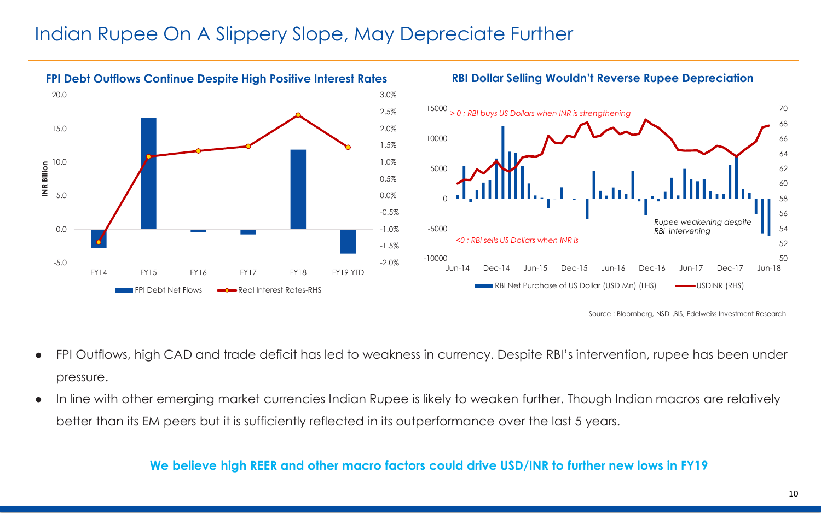#### Indian Rupee On A Slippery Slope, May Depreciate Further





Source : Bloomberg, NSDL,BIS, Edelweiss Investment Research

- FPI Outflows, high CAD and trade deficit has led to weakness in currency. Despite RBI's intervention, rupee has been under pressure.
- In line with other emerging market currencies Indian Rupee is likely to weaken further. Though Indian macros are relatively better than its EM peers but it is sufficiently reflected in its outperformance over the last 5 years.

#### **We believe high REER and other macro factors could drive USD/INR to further new lows in FY19**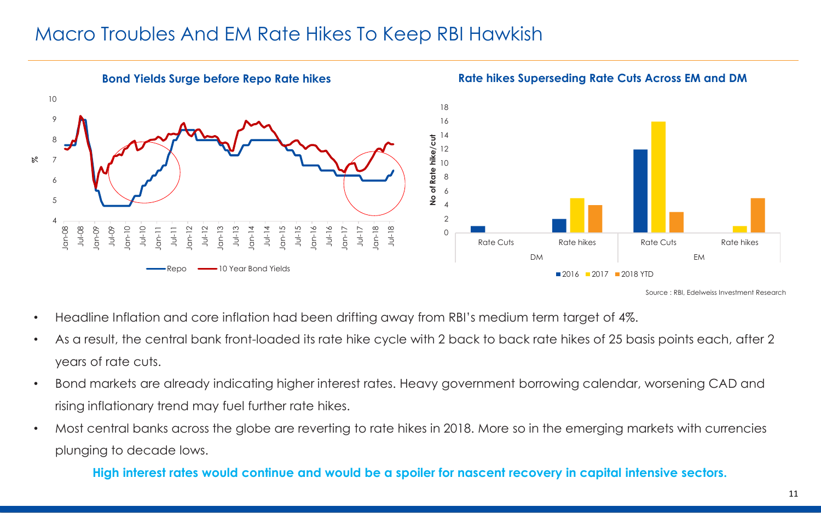#### Macro Troubles And EM Rate Hikes To Keep RBI Hawkish



- Headline Inflation and core inflation had been drifting away from RBI's medium term target of 4%.
- As a result, the central bank front-loaded its rate hike cycle with 2 back to back rate hikes of 25 basis points each, after 2 years of rate cuts.
- Bond markets are already indicating higher interest rates. Heavy government borrowing calendar, worsening CAD and rising inflationary trend may fuel further rate hikes.
- Most central banks across the globe are reverting to rate hikes in 2018. More so in the emerging markets with currencies plunging to decade lows.

#### **High interest rates would continue and would be a spoiler for nascent recovery in capital intensive sectors.**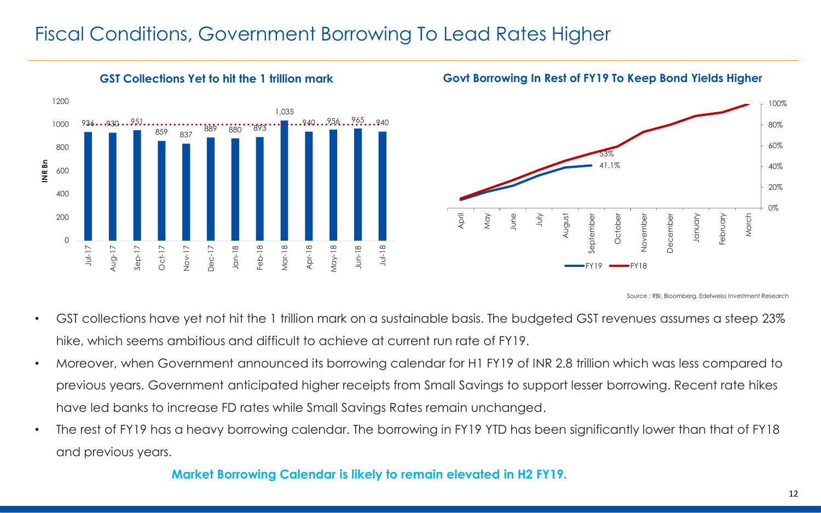## Fiscal Conditions, Government Borrowing To Lead Rates Higher



#### **GST Collections Yet to hit the 1 trillion mark Govt Borrowing In Rest of FY19 To Keep Bond Yields Higher**



Source : RBI, Bloomberg, Edelweiss Investment Research

- GST collections have yet not hit the 1 trillion mark on a sustainable basis. The budgeted GST revenues assumes a steep 23% hike, which seems ambitious and difficult to achieve at current run rate of FY19.
- Moreover, when Government announced its borrowing calendar for H1 FY19 of INR 2.8 trillion which was less compared to previous years. Government anticipated higher receipts from Small Savings to support lesser borrowing. Recent rate hikes have led banks to increase FD rates while Small Savings Rates remain unchanged.
- The rest of FY19 has a heavy borrowing calendar. The borrowing in FY19 YTD has been significantly lower than that of FY18 and previous years.

#### **Market Borrowing Calendar is likely to remain elevated in H2 FY19.**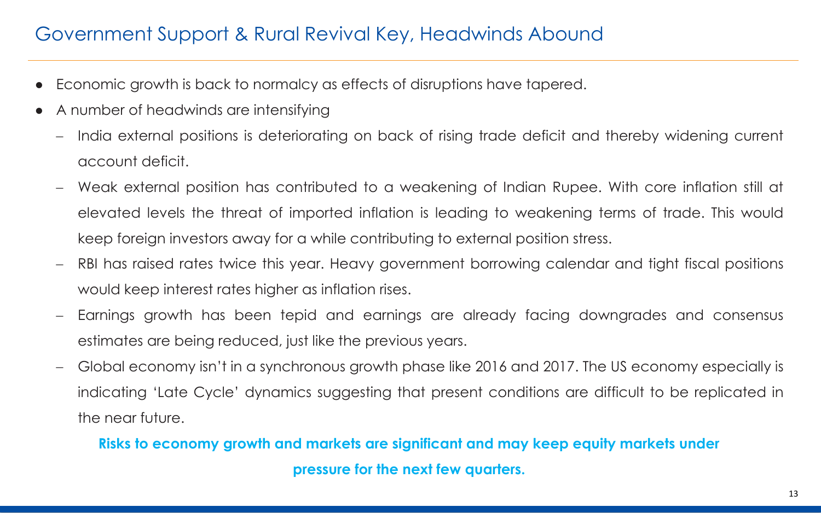## Government Support & Rural Revival Key, Headwinds Abound

- Economic growth is back to normalcy as effects of disruptions have tapered.
- A number of headwinds are intensifying
	- India external positions is deteriorating on back of rising trade deficit and thereby widening current account deficit.
	- Weak external position has contributed to a weakening of Indian Rupee. With core inflation still at elevated levels the threat of imported inflation is leading to weakening terms of trade. This would keep foreign investors away for a while contributing to external position stress.
	- RBI has raised rates twice this year. Heavy government borrowing calendar and tight fiscal positions would keep interest rates higher as inflation rises.
	- Earnings growth has been tepid and earnings are already facing downgrades and consensus estimates are being reduced, just like the previous years.
	- Global economy isn't in a synchronous growth phase like 2016 and 2017. The US economy especially is indicating 'Late Cycle' dynamics suggesting that present conditions are difficult to be replicated in the near future.

#### **Risks to economy growth and markets are significant and may keep equity markets under pressure for the next few quarters.**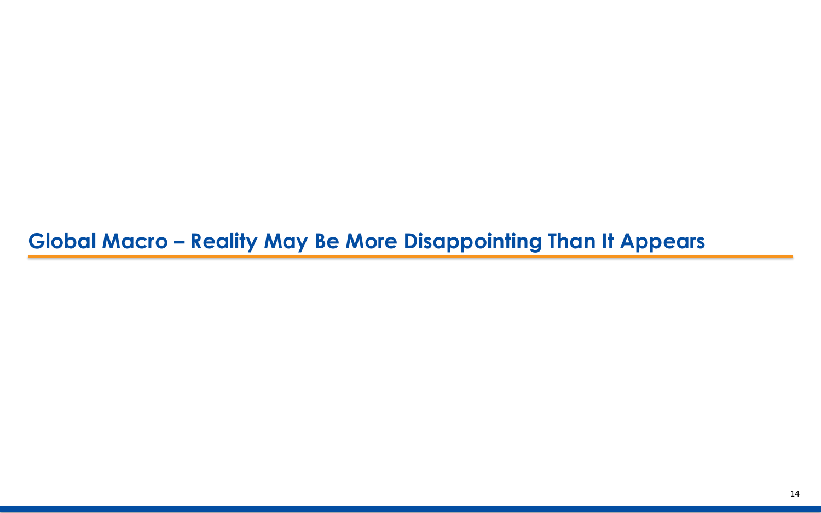# **Global Macro – Reality May Be More Disappointing Than It Appears**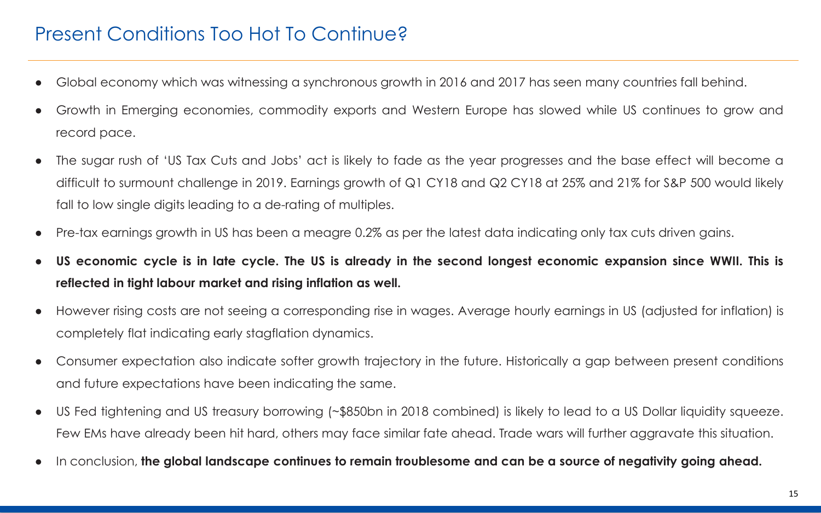## Present Conditions Too Hot To Continue?

- Global economy which was witnessing a synchronous growth in 2016 and 2017 has seen many countries fall behind.
- Growth in Emerging economies, commodity exports and Western Europe has slowed while US continues to grow and record pace.
- The sugar rush of 'US Tax Cuts and Jobs' act is likely to fade as the year progresses and the base effect will become a difficult to surmount challenge in 2019. Earnings growth of Q1 CY18 and Q2 CY18 at 25% and 21% for S&P 500 would likely fall to low single digits leading to a de-rating of multiples.
- Pre-tax earnings growth in US has been a meagre 0.2% as per the latest data indicating only tax cuts driven gains.
- US economic cycle is in late cycle. The US is already in the second longest economic expansion since WWII. This is **reflected in tight labour market and rising inflation as well.**
- However rising costs are not seeing a corresponding rise in wages. Average hourly earnings in US (adjusted for inflation) is completely flat indicating early stagflation dynamics.
- Consumer expectation also indicate softer growth trajectory in the future. Historically a gap between present conditions and future expectations have been indicating the same.
- US Fed tightening and US treasury borrowing (~\$850bn in 2018 combined) is likely to lead to a US Dollar liquidity squeeze. Few EMs have already been hit hard, others may face similar fate ahead. Trade wars will further aggravate this situation.
- In conclusion, the global landscape continues to remain troublesome and can be a source of negativity going ahead.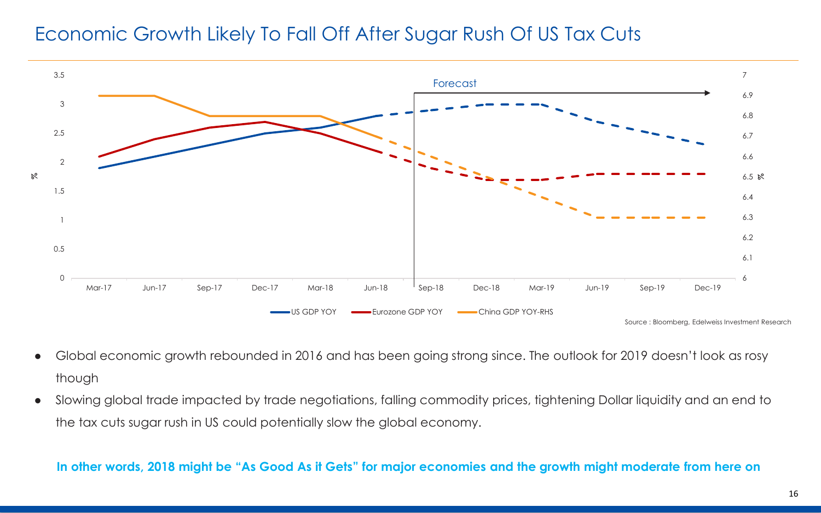### Economic Growth Likely To Fall Off After Sugar Rush Of US Tax Cuts



- Global economic growth rebounded in 2016 and has been going strong since. The outlook for 2019 doesn't look as rosy though
- Slowing global trade impacted by trade negotiations, falling commodity prices, tightening Dollar liquidity and an end to the tax cuts sugar rush in US could potentially slow the global economy.

**In other words, 2018 might be "As Good As it Gets" for major economies and the growth might moderate from here on**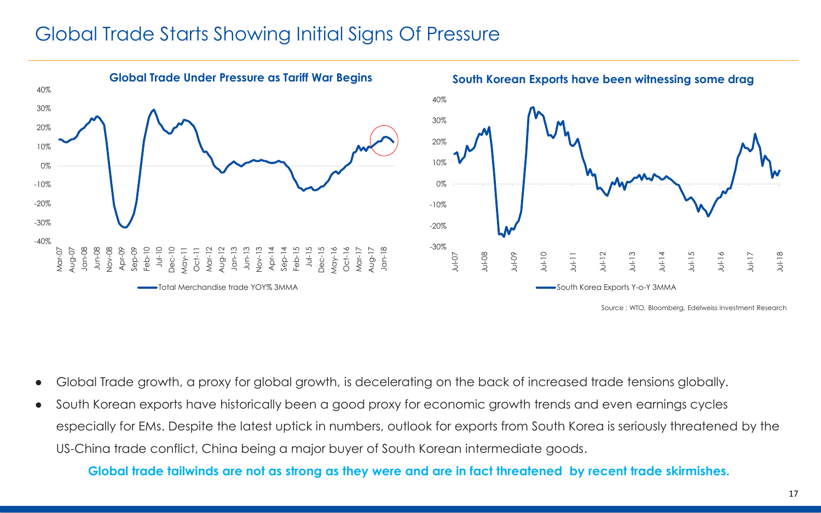### Global Trade Starts Showing Initial Signs Of Pressure



- Global Trade growth, a proxy for global growth, is decelerating on the back of increased trade tensions globally.
- South Korean exports have historically been a good proxy for economic growth trends and even earnings cycles especially for EMs. Despite the latest uptick in numbers, outlook for exports from South Korea is seriously threatened by the US-China trade conflict, China being a major buyer of South Korean intermediate goods.

**Global trade tailwinds are not as strong as they were and are in fact threatened by recent trade skirmishes.**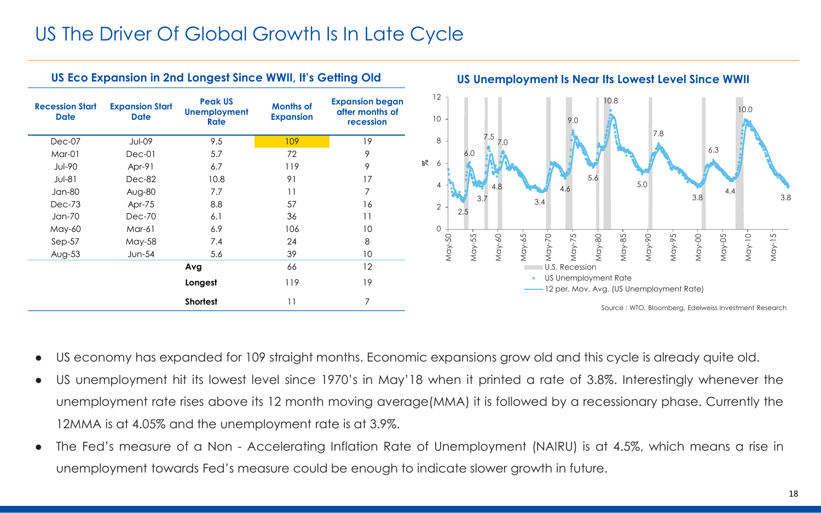## US The Driver Of Global Growth Is In Late Cycle



- US economy has expanded for 109 straight months. Economic expansions grow old and this cycle is already quite old.
- US unemployment hit its lowest level since 1970's in May'18 when it printed a rate of 3.8%. Interestingly whenever the unemployment rate rises above its 12 month moving average(MMA) it is followed by a recessionary phase. Currently the 12MMA is at 4.05% and the unemployment rate is at 3.9%.
- The Fed's measure of a Non Accelerating Inflation Rate of Unemployment (NAIRU) is at 4.5%, which means a rise in unemployment towards Fed's measure could be enough to indicate slower growth in future.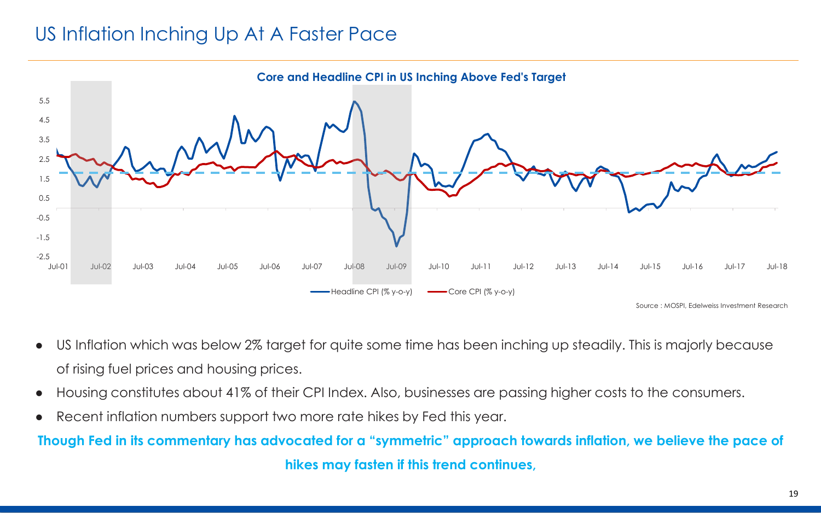## US Inflation Inching Up At A Faster Pace

![](_page_18_Figure_1.jpeg)

- US Inflation which was below 2% target for quite some time has been inching up steadily. This is majorly because of rising fuel prices and housing prices.
- Housing constitutes about 41% of their CPI Index. Also, businesses are passing higher costs to the consumers.
- Recent inflation numbers support two more rate hikes by Fed this year.

#### **Though Fed in its commentary has advocated for a "symmetric" approach towards inflation, we believe the pace of**

**hikes may fasten if this trend continues,**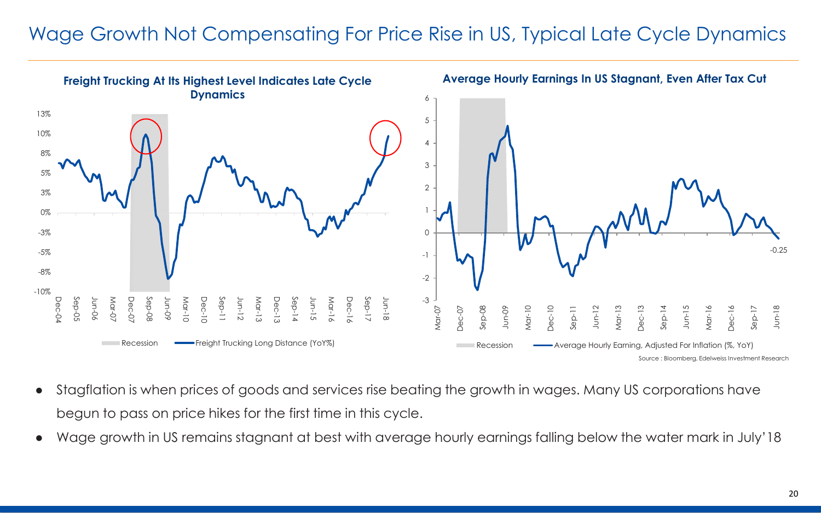## Wage Growth Not Compensating For Price Rise in US, Typical Late Cycle Dynamics

![](_page_19_Figure_1.jpeg)

- Stagflation is when prices of goods and services rise beating the growth in wages. Many US corporations have begun to pass on price hikes for the first time in this cycle.
- Wage growth in US remains stagnant at best with average hourly earnings falling below the water mark in July'18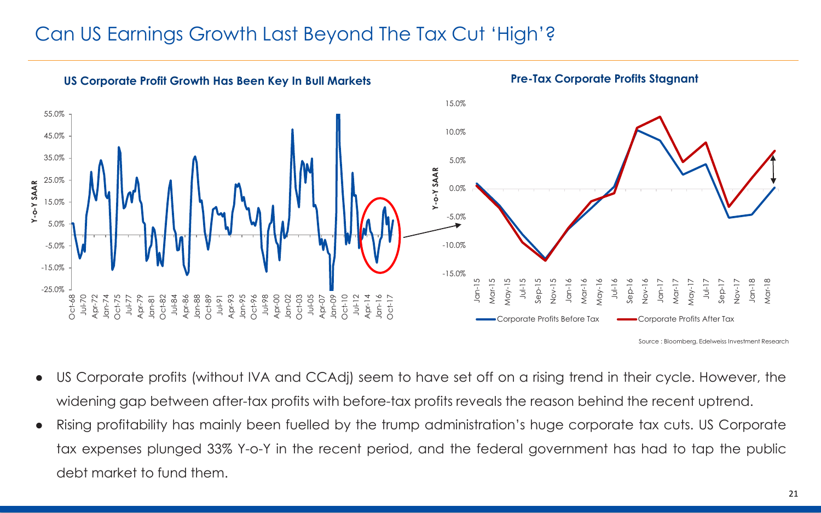## Can US Earnings Growth Last Beyond The Tax Cut 'High'?

![](_page_20_Figure_1.jpeg)

- US Corporate profits (without IVA and CCAdj) seem to have set off on a rising trend in their cycle. However, the widening gap between after-tax profits with before-tax profits reveals the reason behind the recent uptrend.
- Rising profitability has mainly been fuelled by the trump administration's huge corporate tax cuts. US Corporate tax expenses plunged 33% Y-o-Y in the recent period, and the federal government has had to tap the public debt market to fund them.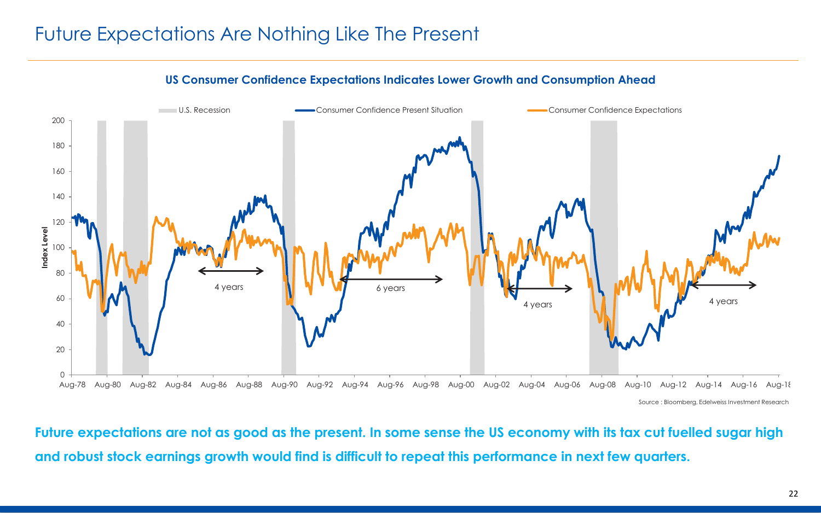## Future Expectations Are Nothing Like The Present

![](_page_21_Figure_1.jpeg)

![](_page_21_Figure_2.jpeg)

**Future expectations are not as good as the present. In some sense the US economy with its tax cut fuelled sugar high and robust stock earnings growth would find is difficult to repeat this performance in next few quarters.**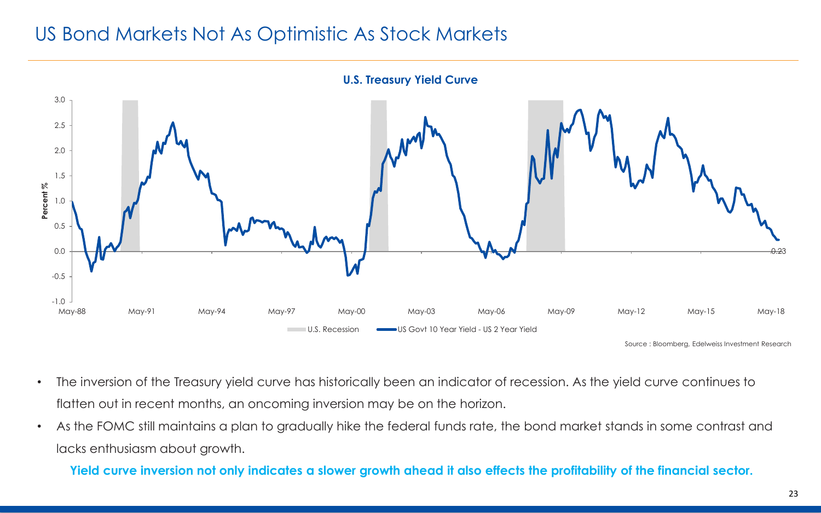## US Bond Markets Not As Optimistic As Stock Markets

![](_page_22_Figure_1.jpeg)

Source : Bloomberg, Edelweiss Investment Research

- The inversion of the Treasury yield curve has historically been an indicator of recession. As the yield curve continues to flatten out in recent months, an oncoming inversion may be on the horizon.
- As the FOMC still maintains a plan to gradually hike the federal funds rate, the bond market stands in some contrast and lacks enthusiasm about growth.

**Yield curve inversion not only indicates a slower growth ahead it also effects the profitability of the financial sector.**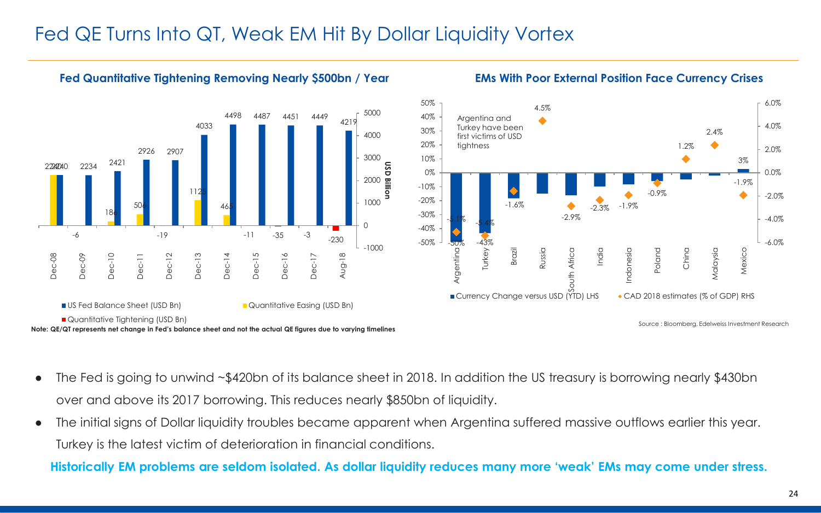#### Fed QE Turns Into QT, Weak EM Hit By Dollar Liquidity Vortex

![](_page_23_Figure_1.jpeg)

**Fed Quantitative Tightening Removing Nearly \$500bn / Year**

#### **EMs With Poor External Position Face Currency Crises**

![](_page_23_Figure_3.jpeg)

**Note: QE/QT represents net change in Fed's balance sheet and not the actual QE figures due to varying timelines**

Source : Bloomberg, Edelweiss Investment Research

- The Fed is going to unwind ~\$420bn of its balance sheet in 2018. In addition the US treasury is borrowing nearly \$430bn over and above its 2017 borrowing. This reduces nearly \$850bn of liquidity.
- The initial signs of Dollar liquidity troubles became apparent when Argentina suffered massive outflows earlier this year. Turkey is the latest victim of deterioration in financial conditions.

**Historically EM problems are seldom isolated. As dollar liquidity reduces many more 'weak' EMs may come under stress.**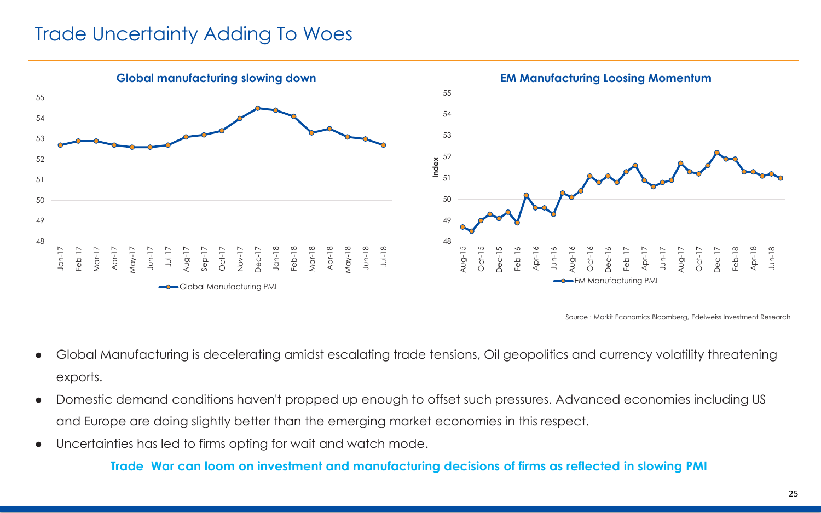#### Trade Uncertainty Adding To Woes

![](_page_24_Figure_1.jpeg)

Source : Markit Economics Bloomberg, Edelweiss Investment Research

- Global Manufacturing is decelerating amidst escalating trade tensions, Oil geopolitics and currency volatility threatening exports.
- Domestic demand conditions haven't propped up enough to offset such pressures. Advanced economies including US and Europe are doing slightly better than the emerging market economies in this respect.
- Uncertainties has led to firms opting for wait and watch mode.

**Trade War can loom on investment and manufacturing decisions of firms as reflected in slowing PMI**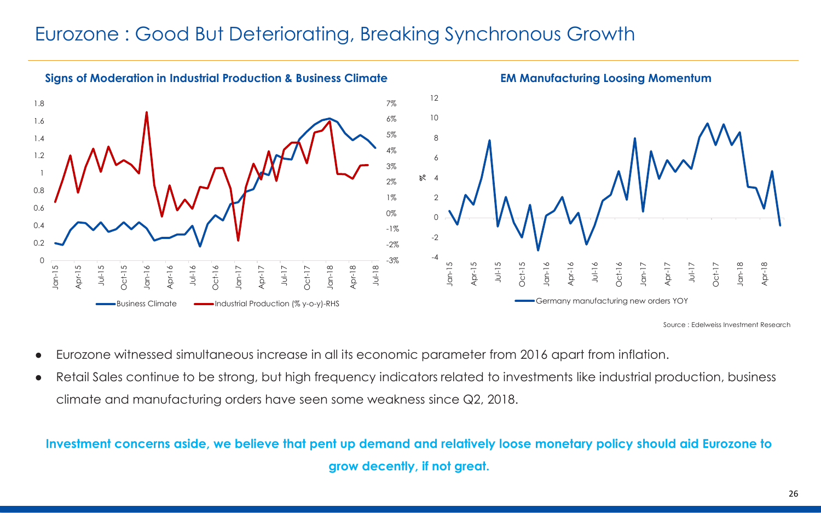## Eurozone : Good But Deteriorating, Breaking Synchronous Growth

![](_page_25_Figure_1.jpeg)

Source : Edelweiss Investment Research

- Eurozone witnessed simultaneous increase in all its economic parameter from 2016 apart from inflation.
- Retail Sales continue to be strong, but high frequency indicators related to investments like industrial production, business climate and manufacturing orders have seen some weakness since Q2, 2018.

#### **Investment concerns aside, we believe that pent up demand and relatively loose monetary policy should aid Eurozone to grow decently, if not great.**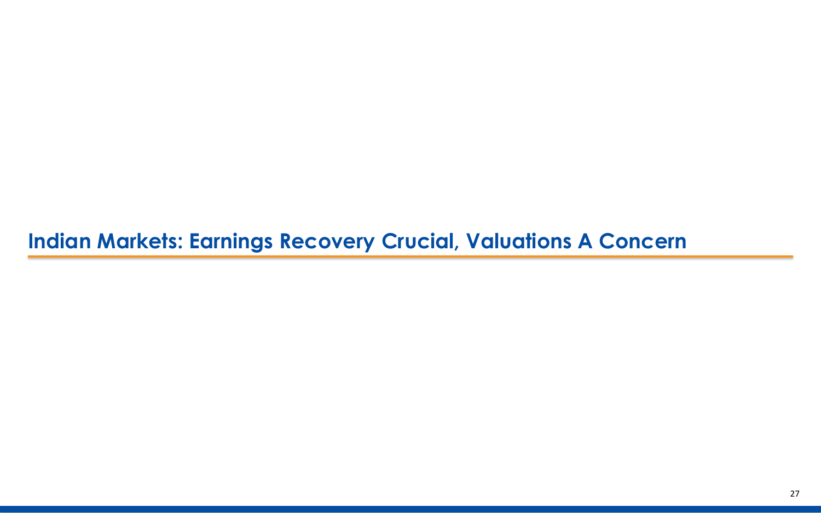# **Indian Markets: Earnings Recovery Crucial, Valuations A Concern**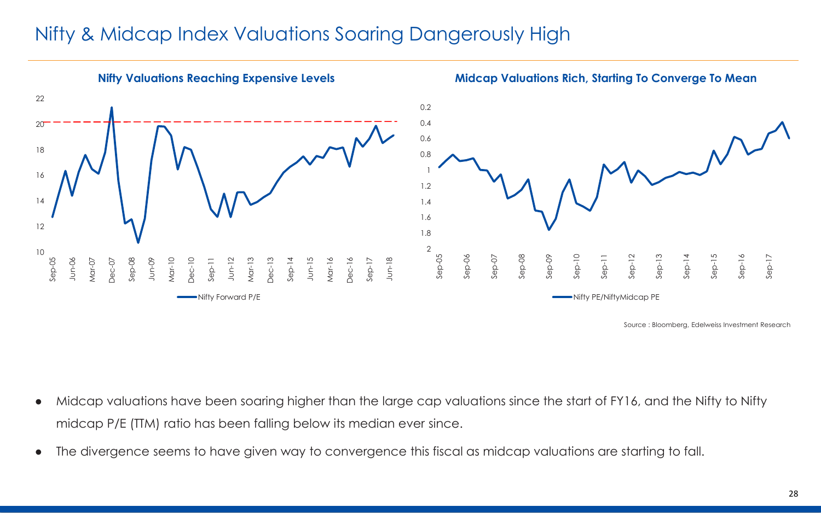### Nifty & Midcap Index Valuations Soaring Dangerously High

![](_page_27_Figure_1.jpeg)

- Midcap valuations have been soaring higher than the large cap valuations since the start of FY16, and the Nifty to Nifty midcap P/E (TTM) ratio has been falling below its median ever since.
- The divergence seems to have given way to convergence this fiscal as midcap valuations are starting to fall.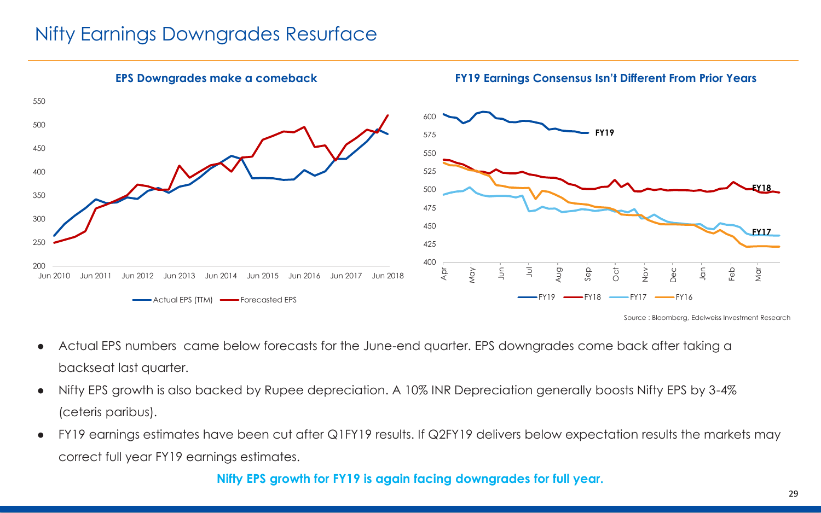## Nifty Earnings Downgrades Resurface

![](_page_28_Figure_1.jpeg)

- Actual EPS numbers came below forecasts for the June-end quarter. EPS downgrades come back after taking a backseat last quarter.
- Nifty EPS growth is also backed by Rupee depreciation. A 10% INR Depreciation generally boosts Nifty EPS by 3-4% (ceteris paribus).
- FY19 earnings estimates have been cut after Q1FY19 results. If Q2FY19 delivers below expectation results the markets may correct full year FY19 earnings estimates.

#### **Nifty EPS growth for FY19 is again facing downgrades for full year.**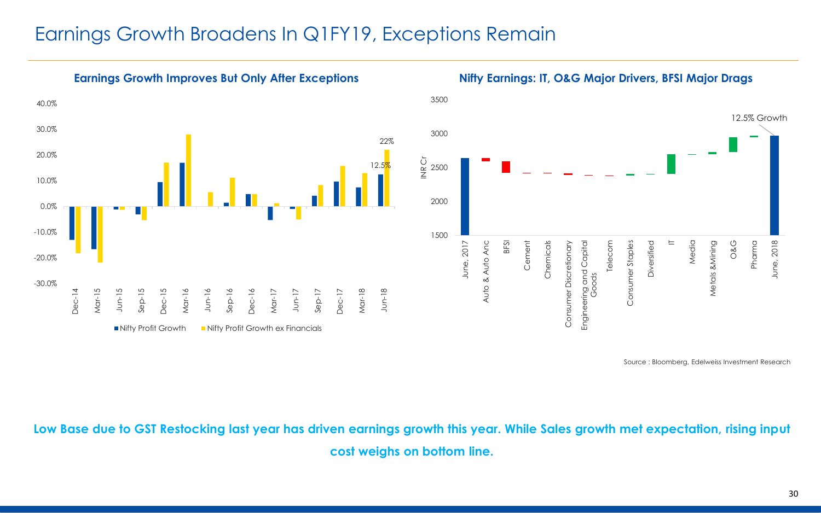#### Earnings Growth Broadens In Q1FY19, Exceptions Remain

![](_page_29_Figure_1.jpeg)

![](_page_29_Figure_3.jpeg)

Source : Bloomberg, Edelweiss Investment Research

**Low Base due to GST Restocking last year has driven earnings growth this year. While Sales growth met expectation, rising input cost weighs on bottom line.**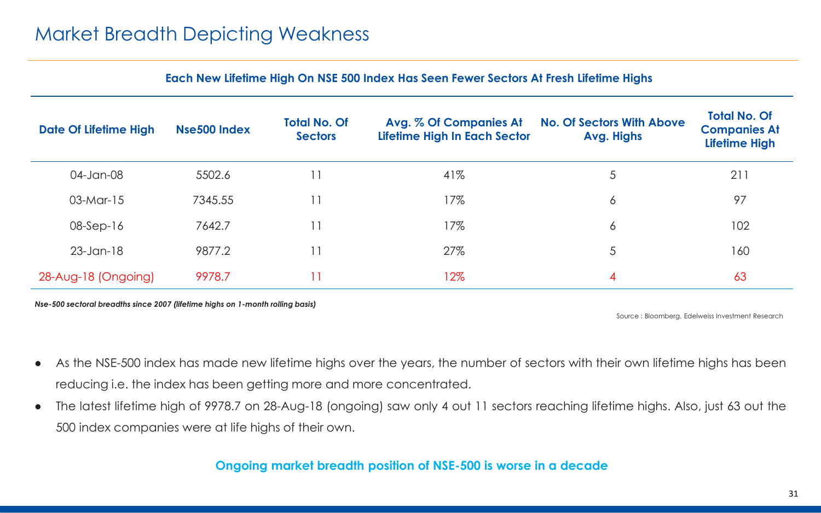|  |  |  |  | Each New Lifetime High On NSE 500 Index Has Seen Fewer Sectors At Fresh Lifetime Highs |
|--|--|--|--|----------------------------------------------------------------------------------------|
|--|--|--|--|----------------------------------------------------------------------------------------|

| <b>Date Of Lifetime High</b> | <b>Nse500 Index</b> | <b>Total No. Of</b><br><b>Sectors</b> | Avg. % Of Companies At<br>Lifetime High In Each Sector | <b>No. Of Sectors With Above</b><br>Avg. Highs | <b>Total No. Of</b><br><b>Companies At</b><br><b>Lifetime High</b> |
|------------------------------|---------------------|---------------------------------------|--------------------------------------------------------|------------------------------------------------|--------------------------------------------------------------------|
| 04-Jan-08                    | 5502.6              |                                       | 41%                                                    | 5                                              | 211                                                                |
| $03-Mar-15$                  | 7345.55             |                                       | 17%                                                    | 6                                              | 97                                                                 |
| $08-Sep-16$                  | 7642.7              |                                       | 17%                                                    | 6                                              | 102                                                                |
| $23$ -Jan-18                 | 9877.2              |                                       | 27%                                                    | 5                                              | 160                                                                |
| 28-Aug-18 (Ongoing)          | 9978.7              |                                       | 12%                                                    | 4                                              | 63                                                                 |

*Nse-500 sectoral breadths since 2007 (lifetime highs on 1-month rolling basis)*

Source : Bloomberg, Edelweiss Investment Research

- As the NSE-500 index has made new lifetime highs over the years, the number of sectors with their own lifetime highs has been reducing i.e. the index has been getting more and more concentrated.
- The latest lifetime high of 9978.7 on 28-Aug-18 (ongoing) saw only 4 out 11 sectors reaching lifetime highs. Also, just 63 out the 500 index companies were at life highs of their own.

#### **Ongoing market breadth position of NSE-500 is worse in a decade**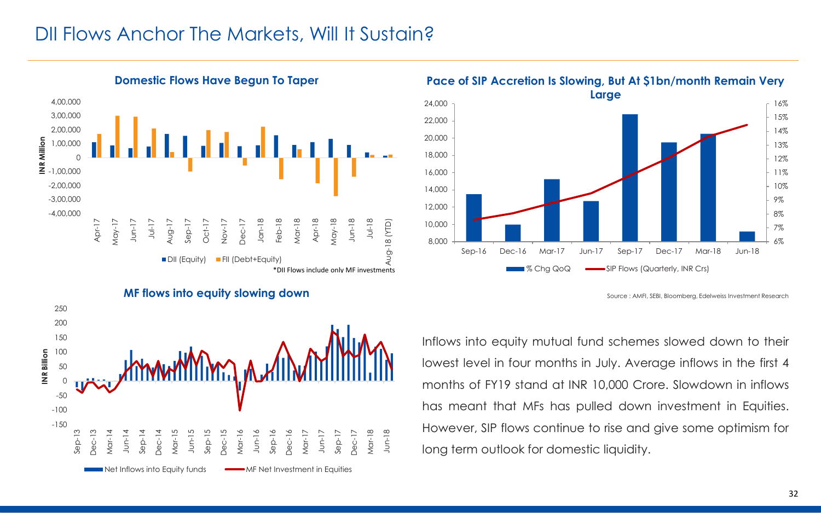#### DII Flows Anchor The Markets, Will It Sustain?

![](_page_31_Figure_1.jpeg)

**Pace of SIP Accretion Is Slowing, But At \$1bn/month Remain Very** 

![](_page_31_Figure_3.jpeg)

Source : AMFI, SEBI, Bloomberg, Edelweiss Investment Research

![](_page_31_Figure_5.jpeg)

Inflows into equity mutual fund schemes slowed down to their lowest level in four months in July. Average inflows in the first 4 months of FY19 stand at INR 10,000 Crore. Slowdown in inflows has meant that MFs has pulled down investment in Equities. However, SIP flows continue to rise and give some optimism for long term outlook for domestic liquidity.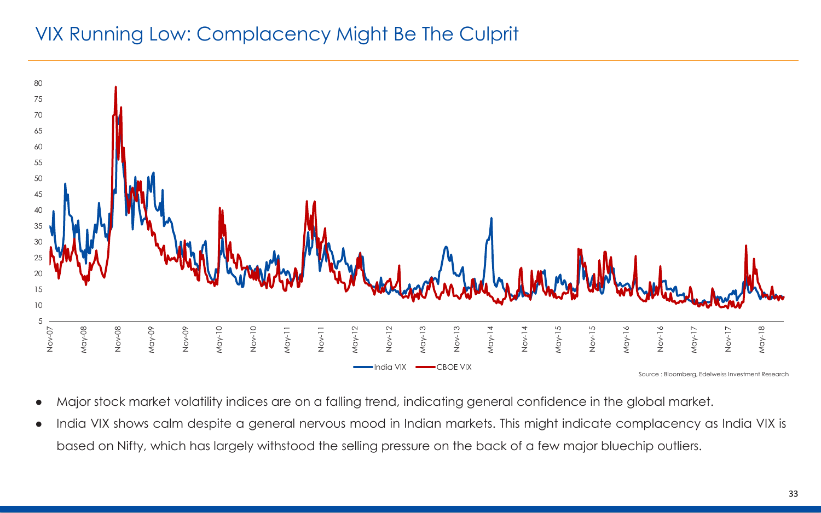## VIX Running Low: Complacency Might Be The Culprit

![](_page_32_Figure_1.jpeg)

- Major stock market volatility indices are on a falling trend, indicating general confidence in the global market.
- India VIX shows calm despite a general nervous mood in Indian markets. This might indicate complacency as India VIX is based on Nifty, which has largely withstood the selling pressure on the back of a few major bluechip outliers.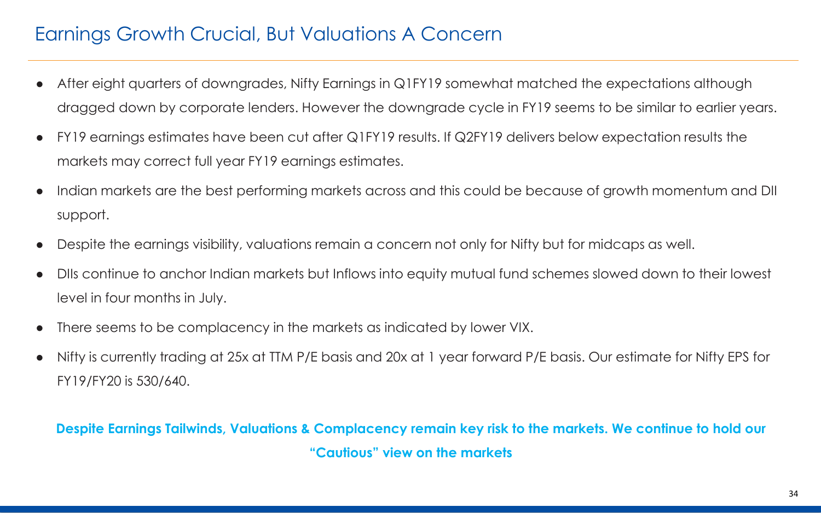# Earnings Growth Crucial, But Valuations A Concern

- After eight quarters of downgrades, Nifty Earnings in Q1FY19 somewhat matched the expectations although dragged down by corporate lenders. However the downgrade cycle in FY19 seems to be similar to earlier years.
- FY19 earnings estimates have been cut after Q1FY19 results. If Q2FY19 delivers below expectation results the markets may correct full year FY19 earnings estimates.
- Indian markets are the best performing markets across and this could be because of growth momentum and DII support.
- Despite the earnings visibility, valuations remain a concern not only for Nifty but for midcaps as well.
- DIIs continue to anchor Indian markets but Inflows into equity mutual fund schemes slowed down to their lowest level in four months in July.
- There seems to be complacency in the markets as indicated by lower VIX.
- Nifty is currently trading at 25x at TTM P/E basis and 20x at 1 year forward P/E basis. Our estimate for Nifty EPS for FY19/FY20 is 530/640.

#### **Despite Earnings Tailwinds, Valuations & Complacency remain key risk to the markets. We continue to hold our "Cautious" view on the markets**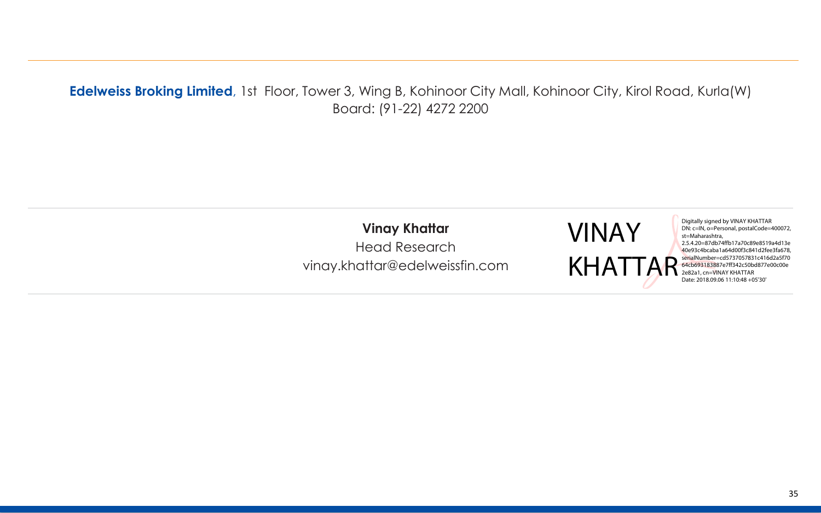#### **Edelweiss Broking Limited**, 1st Floor, Tower 3, Wing B, Kohinoor City Mall, Kohinoor City, Kirol Road, Kurla(W) Board: (91-22) 4272 2200

**Vinay Khattar** Head Research vinay.khattar@edelweissfin.com Digitally signed by VINAY KHATTAR DN: c=IN, o=Personal, postalCode=400072, st=Maharashtra, 2.5.4.20=87db74ffb17a70c89e8519a4d13e 40e93c4bcaba1a64d00f3c841d2fee3fa678, serialNumber=cd5737057831c416d2a5f70 64cb693183887e7ff342c50bd877e00c00e 2e82a1, cn=VINAY KHATTAR Date: 2018.09.06 11:10:48 +05'30'

VINAY

KHAT